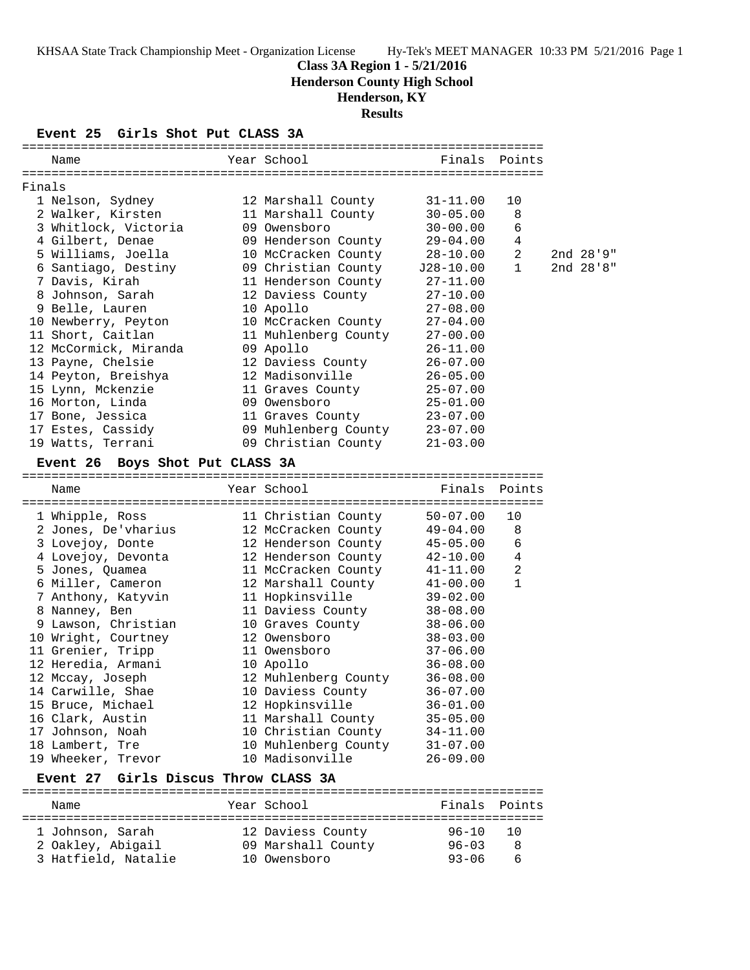## **Class 3A Region 1 - 5/21/2016**

**Henderson County High School**

## **Henderson, KY**

**Results**

#### **Event 25 Girls Shot Put CLASS 3A**

|        | Name                                    |  | Year School                   | Finals Points |                |  |           |  |
|--------|-----------------------------------------|--|-------------------------------|---------------|----------------|--|-----------|--|
|        |                                         |  |                               |               |                |  |           |  |
| Finals |                                         |  |                               |               |                |  |           |  |
|        | 1 Nelson, Sydney                        |  | 12 Marshall County            | $31 - 11.00$  | 10             |  |           |  |
|        | 2 Walker, Kirsten                       |  | 11 Marshall County            | $30 - 05.00$  | 8              |  |           |  |
|        | 3 Whitlock, Victoria                    |  | 09 Owensboro                  | $30 - 00.00$  | 6              |  |           |  |
|        | 4 Gilbert, Denae                        |  | 09 Henderson County           | $29 - 04.00$  | $\overline{4}$ |  |           |  |
|        | 5 Williams, Joella                      |  | 10 McCracken County           | $28 - 10.00$  | 2              |  | 2nd 28'9" |  |
|        | 6 Santiago, Destiny                     |  | 09 Christian County           | $J28-10.00$   | $\mathbf{1}$   |  | 2nd 28'8" |  |
|        | 7 Davis, Kirah                          |  | 11 Henderson County           | $27 - 11.00$  |                |  |           |  |
|        | 8 Johnson, Sarah                        |  | 12 Daviess County             | $27 - 10.00$  |                |  |           |  |
|        | 9 Belle, Lauren                         |  | 10 Apollo                     | $27 - 08.00$  |                |  |           |  |
|        | 10 Newberry, Peyton                     |  | 10 McCracken County           | $27 - 04.00$  |                |  |           |  |
|        | 11 Short, Caitlan                       |  | 11 Muhlenberg County          | $27 - 00.00$  |                |  |           |  |
|        | 12 McCormick, Miranda                   |  | 09 Apollo                     | $26 - 11.00$  |                |  |           |  |
|        | 13 Payne, Chelsie                       |  | 12 Daviess County             | $26 - 07.00$  |                |  |           |  |
|        | 14 Peyton, Breishya                     |  | 12 Madisonville               | $26 - 05.00$  |                |  |           |  |
|        | 15 Lynn, Mckenzie                       |  | 11 Graves County              | $25 - 07.00$  |                |  |           |  |
|        | 16 Morton, Linda                        |  | 09 Owensboro                  | $25 - 01.00$  |                |  |           |  |
|        | 17 Bone, Jessica                        |  | 11 Graves County              | $23 - 07.00$  |                |  |           |  |
|        | 17 Estes, Cassidy                       |  | 09 Muhlenberg County 23-07.00 |               |                |  |           |  |
|        | 19 Watts, Terrani                       |  | 09 Christian County           | $21 - 03.00$  |                |  |           |  |
|        |                                         |  |                               |               |                |  |           |  |
|        | Event 26 Boys Shot Put CLASS 3A         |  |                               |               |                |  |           |  |
|        |                                         |  |                               |               |                |  |           |  |
|        | Name                                    |  | Year School                   | Finals        | Points         |  |           |  |
|        |                                         |  |                               |               |                |  |           |  |
|        | 1 Whipple, Ross                         |  | 11 Christian County           | $50 - 07.00$  | 10             |  |           |  |
|        | 2 Jones, De'vharius                     |  | 12 McCracken County           | 49-04.00      | 8              |  |           |  |
|        | 3 Lovejoy, Donte                        |  | 12 Henderson County           | $45 - 05.00$  | 6              |  |           |  |
|        | 4 Lovejoy, Devonta                      |  | 12 Henderson County           | 42-10.00      | 4              |  |           |  |
|        | 5 Jones, Quamea                         |  | 11 McCracken County           | $41 - 11.00$  | $\overline{2}$ |  |           |  |
|        | 6 Miller, Cameron                       |  | 12 Marshall County            | $41 - 00.00$  | 1              |  |           |  |
|        | 7 Anthony, Katyvin                      |  | 11 Hopkinsville               | $39 - 02.00$  |                |  |           |  |
|        | 8 Nanney, Ben                           |  | 11 Daviess County             | $38 - 08.00$  |                |  |           |  |
|        | 9 Lawson, Christian                     |  | 10 Graves County              | $38 - 06.00$  |                |  |           |  |
|        | 10 Wright, Courtney                     |  | 12 Owensboro                  | $38 - 03.00$  |                |  |           |  |
|        | 11 Grenier, Tripp                       |  | 11 Owensboro                  | $37 - 06.00$  |                |  |           |  |
|        | 12 Heredia, Armani                      |  | 10 Apollo                     | $36 - 08.00$  |                |  |           |  |
|        | 12 Mccay, Joseph                        |  | 12 Muhlenberg County          | $36 - 08.00$  |                |  |           |  |
|        | 14 Carwille, Shae                       |  | 10 Daviess County             | $36 - 07.00$  |                |  |           |  |
|        | 15 Bruce, Michael                       |  | 12 Hopkinsville               | $36 - 01.00$  |                |  |           |  |
|        | 16 Clark, Austin                        |  | 11 Marshall County            | $35 - 05.00$  |                |  |           |  |
|        | 17 Johnson, Noah                        |  | 10 Christian County           | $34 - 11.00$  |                |  |           |  |
|        | 18 Lambert, Tre                         |  | 10 Muhlenberg County          | $31 - 07.00$  |                |  |           |  |
|        | 19 Wheeker, Trevor                      |  | 10 Madisonville               | $26 - 09.00$  |                |  |           |  |
|        | Girls Discus Throw CLASS 3A<br>Event 27 |  |                               |               |                |  |           |  |

======================================================================= Name The Year School The Finals Points ======================================================================= 1 Johnson, Sarah 12 Daviess County 96-10 10 2 Oakley, Abigail 09 Marshall County 96-03 8 3 Hatfield, Natalie 10 Owensboro 93-06 6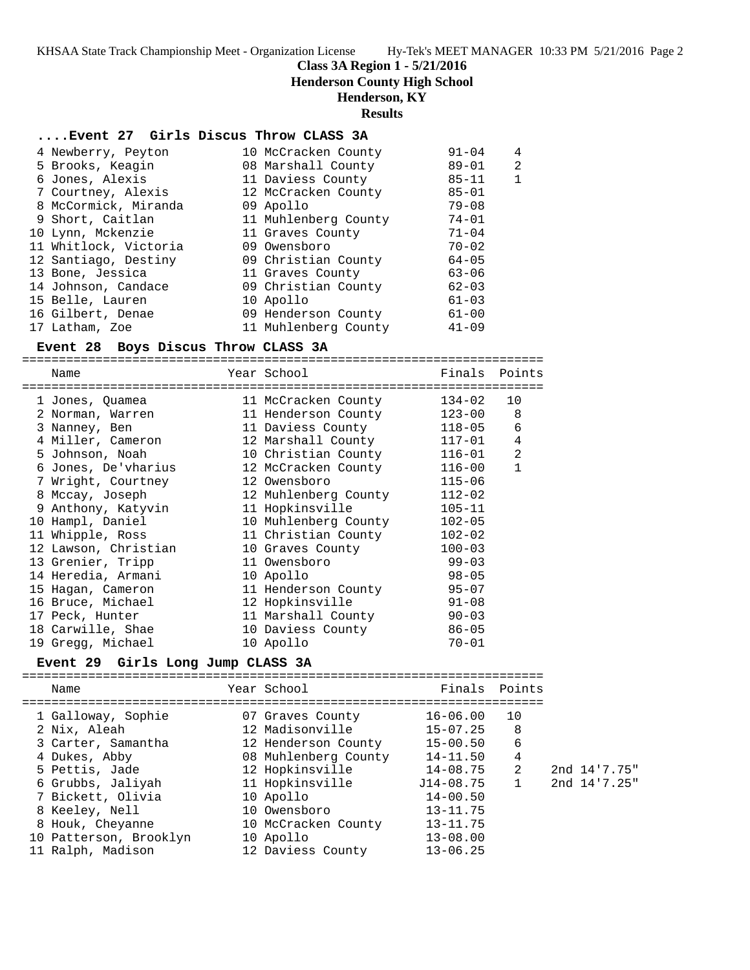**Class 3A Region 1 - 5/21/2016**

**Henderson County High School**

## **Henderson, KY**

#### **Results**

#### **....Event 27 Girls Discus Throw CLASS 3A**

| 4 Newberry, Peyton    | 10 McCracken County  | $91 - 04$ | 4 |
|-----------------------|----------------------|-----------|---|
| 5 Brooks, Keagin      | 08 Marshall County   | $89 - 01$ | 2 |
| 6 Jones, Alexis       | 11 Daviess County    | $85 - 11$ |   |
| 7 Courtney, Alexis    | 12 McCracken County  | $85 - 01$ |   |
| 8 McCormick, Miranda  | 09 Apollo            | $79 - 08$ |   |
| 9 Short, Caitlan      | 11 Muhlenberg County | $74 - 01$ |   |
| 10 Lynn, Mckenzie     | 11 Graves County     | $71 - 04$ |   |
| 11 Whitlock, Victoria | 09 Owensboro         | $70 - 02$ |   |
| 12 Santiago, Destiny  | 09 Christian County  | $64 - 05$ |   |
| 13 Bone, Jessica      | 11 Graves County     | $63 - 06$ |   |
| 14 Johnson, Candace   | 09 Christian County  | $62 - 03$ |   |
| 15 Belle, Lauren      | 10 Apollo            | $61 - 03$ |   |
| 16 Gilbert, Denae     | 09 Henderson County  | $61 - 00$ |   |
| 17 Latham, Zoe        | 11 Muhlenberg County | $41 - 09$ |   |

#### **Event 28 Boys Discus Throw CLASS 3A**

=======================================================================

| Name<br>-------------------                                | Year School<br>======================= |            | Finals Points  |
|------------------------------------------------------------|----------------------------------------|------------|----------------|
| 1 Jones, Quamea                                            | 11 McCracken County                    | 134-02     | 10             |
| 2 Norman, Warren                       11 Henderson County |                                        | 123-00     | 8              |
| 3 Nanney, Ben                                              | 11 Daviess County                      | 118-05     | 6              |
| 4 Miller, Cameron                                          | 12 Marshall County                     | $117 - 01$ | $\overline{4}$ |
| 5 Johnson, Noah                                            | 10 Christian County                    | $116 - 01$ | $\overline{2}$ |
| 6 Jones, De'vharius                                        | 12 McCracken County                    | $116 - 00$ | $\mathbf{1}$   |
| 7 Wright, Courtney 12 Owensboro                            |                                        | $115 - 06$ |                |
| 8 Mccay, Joseph                                            | 12 Muhlenberg County                   | $112 - 02$ |                |
| 9 Anthony, Katyvin                                         | 11 Hopkinsville                        | $105 - 11$ |                |
| 10 Hampl, Daniel                                           | 10 Muhlenberg County                   | $102 - 05$ |                |
| 11 Whipple, Ross                                           | 11 Christian County                    | $102 - 02$ |                |
| 12 Lawson, Christian                                       | 10 Graves County                       | $100 - 03$ |                |
| 13 Grenier, Tripp                                          | 11 Owensboro                           | $99 - 03$  |                |
| 14 Heredia, Armani                                         | 10 Apollo                              | $98 - 05$  |                |
| 15 Hagan, Cameron                                          | 11 Henderson County                    | $95 - 07$  |                |
| 16 Bruce, Michael                                          | 12 Hopkinsville                        | 91-08      |                |
| 17 Peck, Hunter                                            | 11 Marshall County                     | $90 - 03$  |                |
| 18 Carwille, Shae                                          | 10 Daviess County                      | $86 - 05$  |                |
| 19 Gregg, Michael                                          | 10 Apollo                              | $70 - 01$  |                |

#### **Event 29 Girls Long Jump CLASS 3A**

======================================================================= Name The Year School The Finals Points ======================================================================= 1 Galloway, Sophie 07 Graves County 16-06.00 10 2 Nix, Aleah 12 Madisonville 15-07.25 8 3 Carter, Samantha 12 Henderson County 15-00.50 6 4 Dukes, Abby 08 Muhlenberg County 14-11.50 4 5 Pettis, Jade 12 Hopkinsville 14-08.75 2 2nd 14'7.75" 6 Grubbs, Jaliyah 11 Hopkinsville J14-08.75 1 2nd 14'7.25" 7 Bickett, Olivia 10 Apollo 14-00.50 8 Keeley, Nell 10 Owensboro 13-11.75 8 Houk, Cheyanne 10 McCracken County 13-11.75 10 Patterson, Brooklyn 10 Apollo 13-08.00 11 Ralph, Madison 12 Daviess County 13-06.25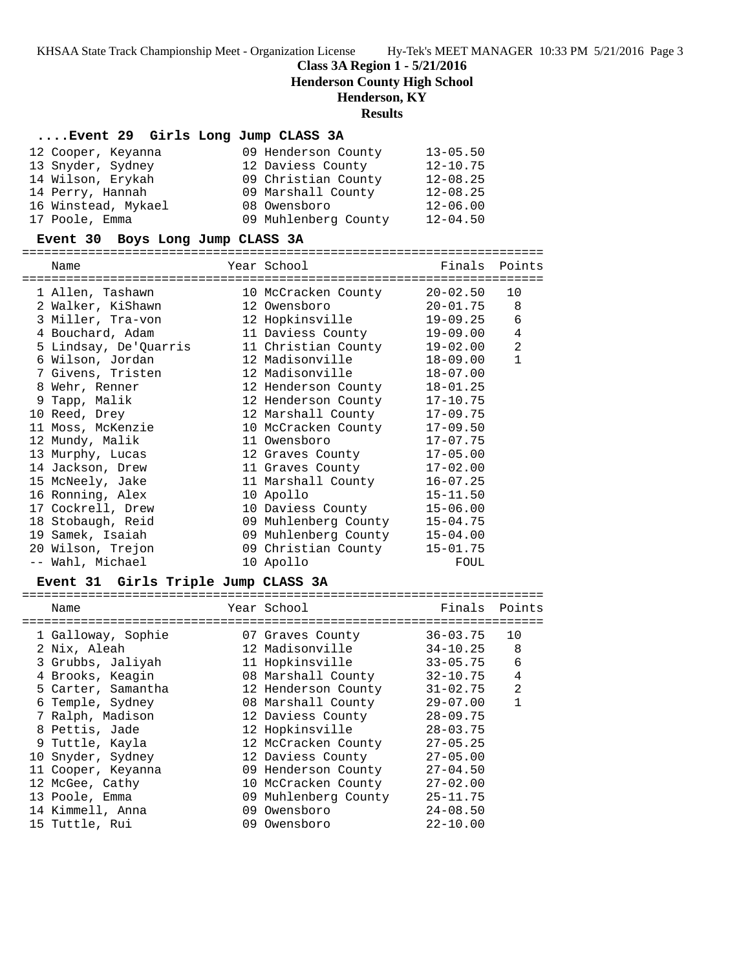**Class 3A Region 1 - 5/21/2016**

**Henderson County High School**

## **Henderson, KY**

#### **Results**

## **....Event 29 Girls Long Jump CLASS 3A**

| 12 Cooper, Keyanna  | 09 Henderson County  | $13 - 05.50$ |
|---------------------|----------------------|--------------|
| 13 Snyder, Sydney   | 12 Daviess County    | $12 - 10.75$ |
| 14 Wilson, Erykah   | 09 Christian County  | $12 - 08.25$ |
| 14 Perry, Hannah    | 09 Marshall County   | $12 - 08.25$ |
| 16 Winstead, Mykael | 08 Owensboro         | $12 - 06.00$ |
| 17 Poole, Emma      | 09 Muhlenberg County | $12 - 04.50$ |

#### **Event 30 Boys Long Jump CLASS 3A**

=======================================================================

| Name                                             | Year School                        | Finals         | Points         |
|--------------------------------------------------|------------------------------------|----------------|----------------|
| -------------------------------                  | ================================== |                |                |
| 1 Allen, Tashawn                                 | 10 McCracken County                | 20-02.50       | 10             |
| 2 Walker, KiShawn 12 Owensboro                   |                                    | $20 - 01.75$ 8 |                |
| 3 Miller, Tra-von                                | 12 Hopkinsville                    | $19 - 09.25$ 6 |                |
| 4 Bouchard, Adam 11 Daviess County               |                                    | 19-09.00       | $\overline{4}$ |
| 5 Lindsay, De'Quarris 11 Christian County        |                                    | 19-02.00       | 2              |
| 6 Wilson, Jordan                 12 Madisonville |                                    | 18-09.00       | $\mathbf{1}$   |
|                                                  |                                    | $18 - 07.00$   |                |
| 8 Wehr, Renner 12 Henderson County               |                                    | $18 - 01.25$   |                |
| 9 Tapp, Malik                                    | 12 Henderson County                | $17 - 10.75$   |                |
| 10 Reed, Drey                                    | 12 Marshall County                 | $17 - 09.75$   |                |
| 11 Moss, McKenzie                                | 10 McCracken County                | $17 - 09.50$   |                |
| 12 Mundy, Malik                                  | 11 Owensboro                       | $17 - 07.75$   |                |
| 13 Murphy, Lucas                                 | 12 Graves County                   | $17 - 05.00$   |                |
| 14 Jackson, Drew                                 | 11 Graves County                   | $17 - 02.00$   |                |
| 15 McNeely, Jake                                 | 11 Marshall County                 | $16 - 07.25$   |                |
| 16 Ronning, Alex                                 | 10 Apollo                          | $15 - 11.50$   |                |
| 17 Cockrell, Drew                                | 10 Daviess County                  | $15 - 06.00$   |                |
| 18 Stobaugh, Reid                                | 09 Muhlenberg County               | $15 - 04.75$   |                |
| 19 Samek, Isaiah                                 | 09 Muhlenberg County               | $15 - 04.00$   |                |
| 20 Wilson, Trejon                                | 09 Christian County                | $15 - 01.75$   |                |
| -- Wahl, Michael                                 | 10 Apollo                          | FOUL           |                |
|                                                  |                                    |                |                |

# **Event 31 Girls Triple Jump CLASS 3A**

| Name               | Year School          | Finals Points |                |
|--------------------|----------------------|---------------|----------------|
|                    |                      |               |                |
| 1 Galloway, Sophie | 07 Graves County     | $36 - 03.75$  | 10             |
| 2 Nix, Aleah       | 12 Madisonville      | $34 - 10.25$  | 8              |
| 3 Grubbs, Jaliyah  | 11 Hopkinsville      | $33 - 05.75$  | 6              |
| 4 Brooks, Keagin   | 08 Marshall County   | $32 - 10.75$  | 4              |
| 5 Carter, Samantha | 12 Henderson County  | $31 - 02.75$  | $\mathfrak{D}$ |
| 6 Temple, Sydney   | 08 Marshall County   | $29 - 07.00$  | 1              |
| 7 Ralph, Madison   | 12 Daviess County    | $28 - 09.75$  |                |
| 8 Pettis, Jade     | 12 Hopkinsville      | $28 - 03.75$  |                |
| 9 Tuttle, Kayla    | 12 McCracken County  | $27 - 05.25$  |                |
| 10 Snyder, Sydney  | 12 Daviess County    | $27 - 05.00$  |                |
| 11 Cooper, Keyanna | 09 Henderson County  | $27 - 04.50$  |                |
| 12 McGee, Cathy    | 10 McCracken County  | $27 - 02.00$  |                |
| 13 Poole, Emma     | 09 Muhlenberg County | $25 - 11.75$  |                |
| 14 Kimmell, Anna   | 09 Owensboro         | $24 - 08.50$  |                |
| 15 Tuttle, Rui     | 09 Owensboro         | $22 - 10.00$  |                |
|                    |                      |               |                |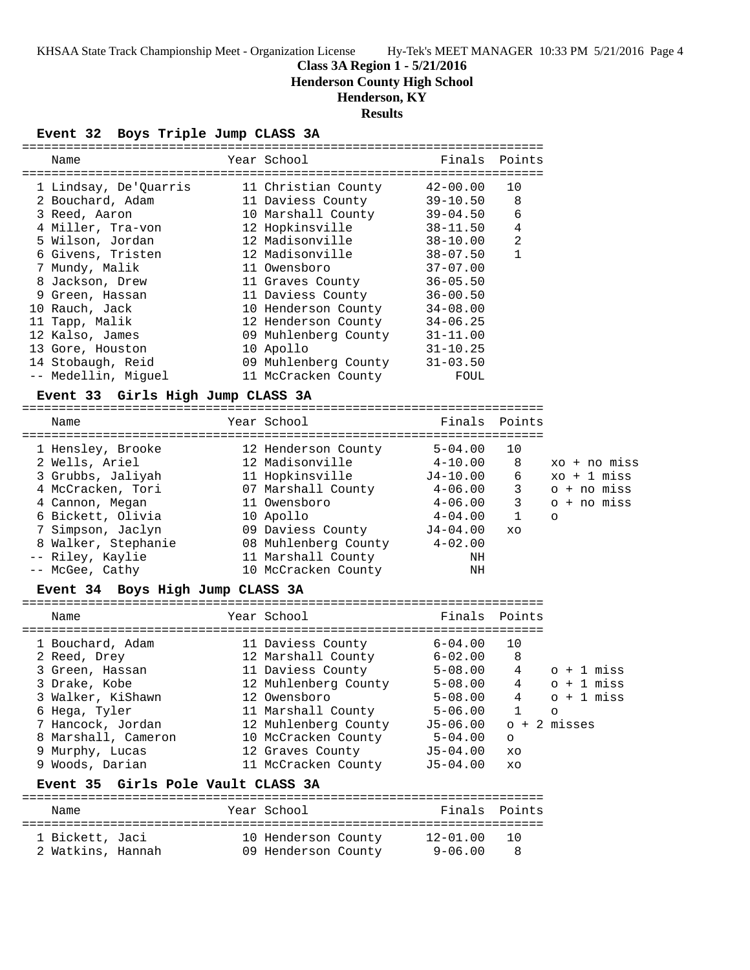## **Class 3A Region 1 - 5/21/2016**

**Henderson County High School**

# **Henderson, KY**

## **Results**

## **Event 32 Boys Triple Jump CLASS 3A**

| Name                  |  | Year School          | Finals Points |                |  |  |  |  |
|-----------------------|--|----------------------|---------------|----------------|--|--|--|--|
| 1 Lindsay, De'Quarris |  | 11 Christian County  | $42 - 00.00$  | 10             |  |  |  |  |
| 2 Bouchard, Adam      |  | 11 Daviess County    | $39 - 10.50$  | 8              |  |  |  |  |
| 3 Reed, Aaron         |  | 10 Marshall County   | $39 - 04.50$  | 6              |  |  |  |  |
| 4 Miller, Tra-von     |  | 12 Hopkinsville      | $38 - 11.50$  | $\overline{4}$ |  |  |  |  |
| 5 Wilson, Jordan      |  | 12 Madisonville      | $38 - 10.00$  | $\overline{2}$ |  |  |  |  |
| 6 Givens, Tristen     |  | 12 Madisonville      | $38 - 07.50$  | $\mathbf{1}$   |  |  |  |  |
| 7 Mundy, Malik        |  | 11 Owensboro         | $37 - 07.00$  |                |  |  |  |  |
| 8 Jackson, Drew       |  | 11 Graves County     | $36 - 05.50$  |                |  |  |  |  |
| 9 Green, Hassan       |  | 11 Daviess County    | $36 - 00.50$  |                |  |  |  |  |
| 10 Rauch, Jack        |  | 10 Henderson County  | $34 - 08.00$  |                |  |  |  |  |
| 11 Tapp, Malik        |  | 12 Henderson County  | $34 - 06.25$  |                |  |  |  |  |
| 12 Kalso, James       |  | 09 Muhlenberg County | $31 - 11.00$  |                |  |  |  |  |
| 13 Gore, Houston      |  | 10 Apollo            | $31 - 10.25$  |                |  |  |  |  |
| 14 Stobaugh, Reid     |  | 09 Muhlenberg County | $31 - 03.50$  |                |  |  |  |  |
| -- Medellin, Miquel   |  | 11 McCracken County  | FOUL          |                |  |  |  |  |

## **Event 33 Girls High Jump CLASS 3A**

| Name                | Year School          | Finals Points |    |               |
|---------------------|----------------------|---------------|----|---------------|
| 1 Hensley, Brooke   | 12 Henderson County  | $5 - 04.00$   | 10 |               |
| 2 Wells, Ariel      | 12 Madisonville      | $4 - 10.00$   | 8  | xo + no miss  |
| 3 Grubbs, Jaliyah   | 11 Hopkinsville      | J4-10.00      | 6  | $xo + 1$ miss |
| 4 McCracken, Tori   | 07 Marshall County   | $4 - 06.00$   | 3  | o + no miss   |
| 4 Cannon, Megan     | 11 Owensboro         | $4 - 06.00$   | 3  | o + no miss   |
| 6 Bickett, Olivia   | 10 Apollo            | $4 - 04.00$   |    | $\circ$       |
| 7 Simpson, Jaclyn   | 09 Daviess County    | $J4 - 04.00$  | XO |               |
| 8 Walker, Stephanie | 08 Muhlenberg County | $4 - 02.00$   |    |               |
| -- Riley, Kaylie    | 11 Marshall County   | ΝH            |    |               |
| -- McGee, Cathy     | 10 McCracken County  | ΝH            |    |               |
|                     |                      |               |    |               |

#### **Event 34 Boys High Jump CLASS 3A**

| Name                               |  | Year School          | Finals Points |              |                  |  |  |  |
|------------------------------------|--|----------------------|---------------|--------------|------------------|--|--|--|
|                                    |  |                      |               |              |                  |  |  |  |
| 1 Bouchard, Adam                   |  | 11 Daviess County    | 6-04.00       | 10           |                  |  |  |  |
| 2 Reed, Drey                       |  | 12 Marshall County   | 6-02.00       | 8            |                  |  |  |  |
| 3 Green, Hassan                    |  | 11 Daviess County    | 5-08.00       | 4            | $0 + 1$ miss     |  |  |  |
| 3 Drake, Kobe                      |  | 12 Muhlenberg County | $5 - 08.00$   | 4            | $\circ$ + 1 miss |  |  |  |
| 3 Walker, KiShawn                  |  | 12 Owensboro         | $5 - 08.00$   | 4            | $o + 1$ miss     |  |  |  |
| 6 Hega, Tyler                      |  | 11 Marshall County   | $5 - 06.00$   | $\mathbf{1}$ | $\circ$          |  |  |  |
| 7 Hancock, Jordan                  |  | 12 Muhlenberg County | J5-06.00      |              | $o + 2$ misses   |  |  |  |
| 8 Marshall, Cameron                |  | 10 McCracken County  | $5 - 04.00$   | $\circ$      |                  |  |  |  |
| 9 Murphy, Lucas                    |  | 12 Graves County     | J5-04.00      | XO           |                  |  |  |  |
| 9 Woods, Darian                    |  | 11 McCracken County  | J5-04.00      | XO           |                  |  |  |  |
| Event 35 Girls Pole Vault CLASS 3A |  |                      |               |              |                  |  |  |  |
|                                    |  |                      |               |              |                  |  |  |  |
| Name                               |  | Year School          | Finals        | Points       |                  |  |  |  |
| 1 Bickett, Jaci                    |  | 10 Henderson County  | $12 - 01.00$  | 1 O          |                  |  |  |  |

2 Watkins, Hannah 09 Henderson County 9-06.00 8